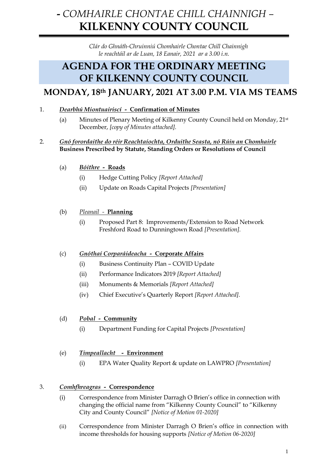# **-** *COMHAIRLE CHONTAE CHILL CHAINNIGH –* **KILKENNY COUNTY COUNCIL**

*Clár do Ghnáth-Chruinniú Chomhairle Chontae Chill Chainnigh le reachtáil ar de Luan, 18 Eanair, 2021 ar a 3.00 i.n.*

## **AGENDA FOR THE ORDINARY MEETING OF KILKENNY COUNTY COUNCIL**

### **MONDAY, 18th JANUARY, 2021 AT 3.00 P.M. VIA MS TEAMS**

- 1. *Dearbhú Miontuairiscí* **Confirmation of Minutes**
	- (a) Minutes of Plenary Meeting of Kilkenny County Council held on Monday, 21st December, *[copy of Minutes attached].*

#### 2. *Gnó forordaithe do réir Reachtaíochta, Orduithe Seasta, nó Rúin an Chomhairle* **Business Prescribed by Statute, Standing Orders or Resolutions of Council**

- (a) *Bóithre***Roads**
	- (i) Hedge Cutting Policy *[Report Attached]*
	- (ii) Update on Roads Capital Projects *[Presentation]*
- (b) *Pleanail* **Planning**
	- (i) Proposed Part 8: Improvements/Extension to Road Network Freshford Road to Dunningtown Road *[Presentation].*

#### (c) *Gnóthaí Corparáideacha -* **Corporate Affairs**

- (i) Business Continuity Plan COVID Update
- (ii) Performance Indicators 2019 *[Report Attached]*
- (iii) Monuments & Memorials *[Report Attached]*
- (iv) Chief Executive's Quarterly Report *[Report Attached].*

#### (d) *Pobal -* **Community**

- (i) Department Funding for Capital Projects *[Presentation]*
- (e) *Timpeallacht* **Environment**
	- (i) EPA Water Quality Report & update on LAWPRO *[Presentation]*

#### 3. *Comhfhreagras -* **Correspondence**

- (i) Correspondence from Minister Darragh O Brien's office in connection with changing the official name from "Kilkenny County Council" to "Kilkenny City and County Council" *[Notice of Motion 01-2020]*
- (ii) Correspondence from Minister Darragh O Brien's office in connection with income thresholds for housing supports *[Notice of Motion 06-2020]*